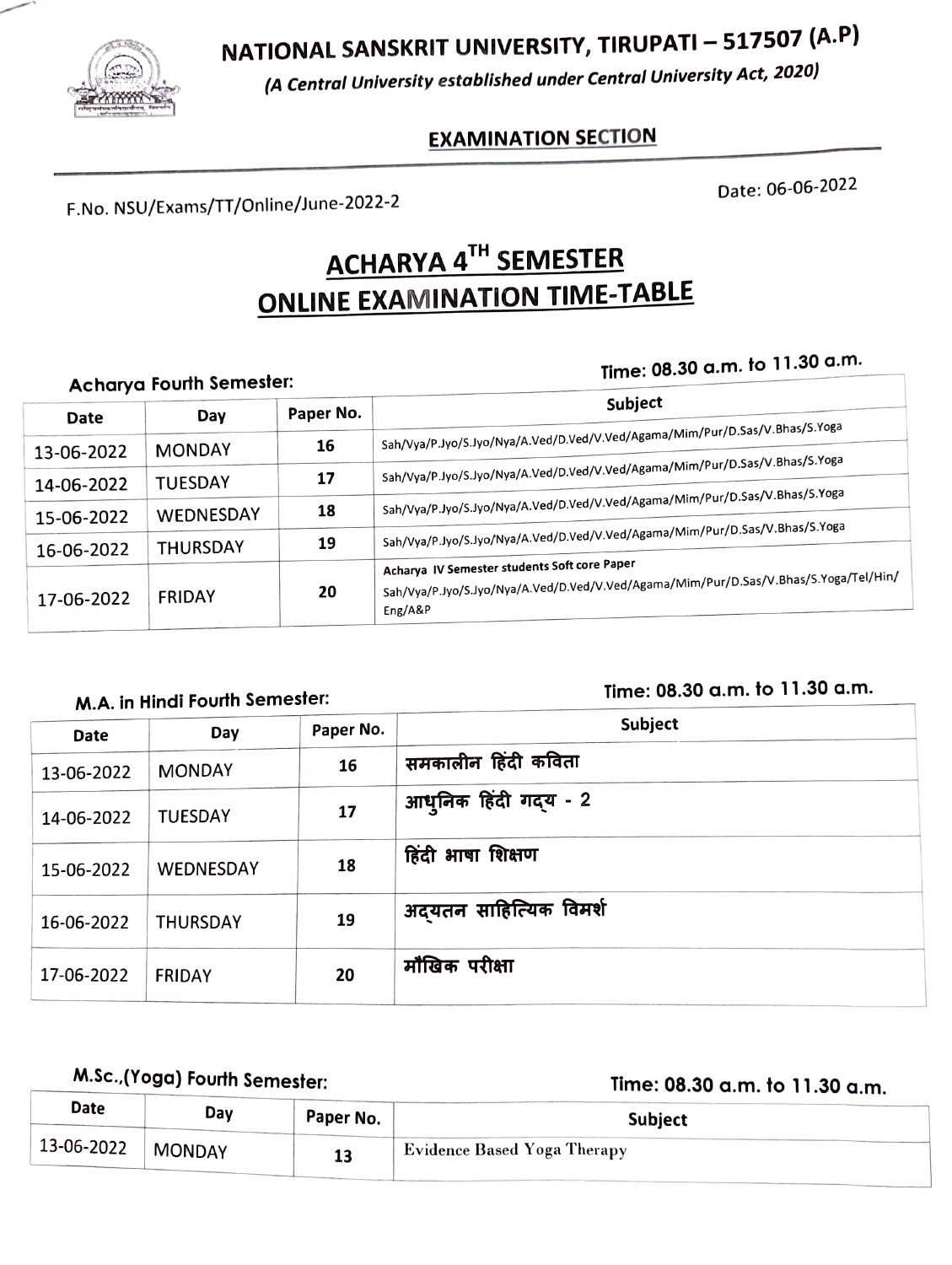NATIONAL SANSKRIT UNIVERSITY, TIRUPATI - 517507 (A.P)



(A Central University established under Central University Act, 2020)

### EXAMINATION SECTION

Date: 06-06-2022

F.No. NSU/Exams/TT/Online/June-2022-2

# ACHARYA 4TH SEMESTER ONLINE EXAMINATION TIME-TABLE

### Acharya Fourth Semester:

## Time: 08.30 a.m. to 11.30 a.m.

| <b>Date</b> | Day             | Paper No. | Subject                                                                                                                                         |
|-------------|-----------------|-----------|-------------------------------------------------------------------------------------------------------------------------------------------------|
| 13-06-2022  | <b>MONDAY</b>   | 16        | Sah/Vya/P.Jyo/S.Jyo/Nya/A.Ved/D.Ved/V.Ved/Agama/Mim/Pur/D.Sas/V.Bhas/S.Yoga `                                                                   |
| 14-06-2022  | <b>TUESDAY</b>  | 17        | Sah/Vya/P.Jyo/S.Jyo/Nya/A.Ved/D.Ved/V.Ved/Agama/Mim/Pur/D.Sas/V.Bhas/S.Yoga `                                                                   |
| 15-06-2022  | WEDNESDAY       | 18        | Sah/Vya/P.Jyo/S.Jyo/Nya/A.Ved/D.Ved/V.Ved/Agama/Mim/Pur/D.Sas/V.Bhas/S.Yoga                                                                     |
| 16-06-2022  | <b>THURSDAY</b> | 19        | Sah/Vya/P.Jyo/S.Jyo/Nya/A.Ved/D.Ved/V.Ved/Agama/Mim/Pur/D.Sas/V.Bhas/S.Yoga                                                                     |
| 17-06-2022  | <b>FRIDAY</b>   | 20        | Acharya IV Semester students Soft core Paper<br>Sah/Vya/P.Jyo/S.Jyo/Nya/A.Ved/D.Ved/V.Ved/Agama/Mim/Pur/D.Sas/V.Bhas/S.Yoga/Tel/Hin/<br>Eng/ABP |
|             |                 |           |                                                                                                                                                 |

# M.A. in Hindi Fourth Semester: Time: 08.30 a.m. to 11.30 a.m.

| Date       | Day             | Paper No. | Subject                |
|------------|-----------------|-----------|------------------------|
| 13-06-2022 | <b>MONDAY</b>   | 16        | समकालीन हिंदी कविता    |
| 14-06-2022 | <b>TUESDAY</b>  | 17        | आधुनिक हिंदी गद्य - 2  |
| 15-06-2022 | WEDNESDAY       | 18        | हिंदी भाषा शिक्षण      |
| 16-06-2022 | <b>THURSDAY</b> | 19        | अदयतन साहित्यिक विमर्श |
| 17-06-2022 | <b>FRIDAY</b>   | 20        | मौखिक परीक्षा          |

## M.Sc.(Yoga) Fourth Semester: Time: 08.30 a.m. to 11.30 a.m.

| <b>Date</b> | Dav    | Paper No. | <b>Subject</b>                     |
|-------------|--------|-----------|------------------------------------|
| 13-06-2022  | MONDAY | 13        | <b>Evidence Based Yoga Therapy</b> |
|             |        |           |                                    |